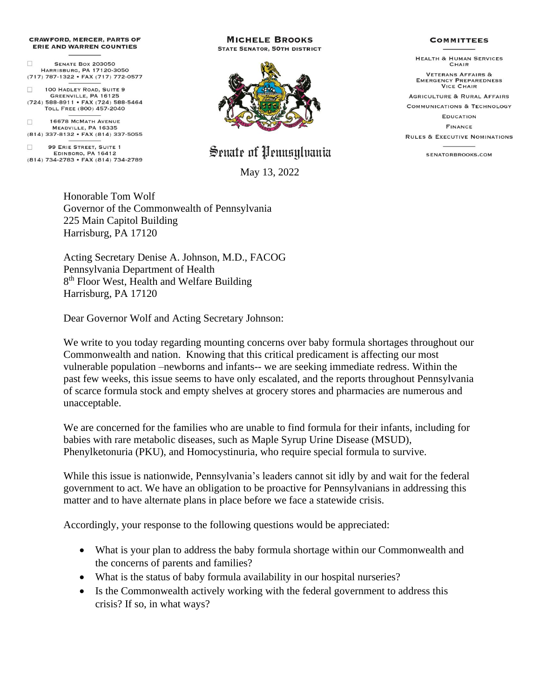## **CRAWFORD, MERCER, PARTS OF ERIE AND WARREN COUNTIES**

 $\Box$ **SENATE BOX 203050** HARRISBURG, PA 17120-3050 (717) 787-1322 · FAX (717) 772-0577

 $\Box$ 100 HADLEY ROAD, SUITE 9 GREENVILLE, PA 16125 (724) 588-8911 · FAX (724) 588-5464 TOLL FREE (800) 457-2040

**16678 MCMATH AVENUE** П. MEADVILLE, PA 16335  $(814)$  337-8132 • FAX  $(814)$  337-5055

 $\Box$ 99 ERIE STREET, SUITE 1 EDINBORO, PA 16412 (814) 734-2783 · FAX (814) 734-2789

## **MICHELE BROOKS STATE SENATOR, 50TH DISTRICT**

## Senate of Pennsulvania

May 13, 2022

Honorable Tom Wolf Governor of the Commonwealth of Pennsylvania 225 Main Capitol Building Harrisburg, PA 17120

Acting Secretary Denise A. Johnson, M.D., FACOG Pennsylvania Department of Health 8<sup>th</sup> Floor West, Health and Welfare Building Harrisburg, PA 17120

Dear Governor Wolf and Acting Secretary Johnson:

We write to you today regarding mounting concerns over baby formula shortages throughout our Commonwealth and nation. Knowing that this critical predicament is affecting our most vulnerable population –newborns and infants-- we are seeking immediate redress. Within the past few weeks, this issue seems to have only escalated, and the reports throughout Pennsylvania of scarce formula stock and empty shelves at grocery stores and pharmacies are numerous and unacceptable.

We are concerned for the families who are unable to find formula for their infants, including for babies with rare metabolic diseases, such as Maple Syrup Urine Disease (MSUD), Phenylketonuria (PKU), and Homocystinuria, who require special formula to survive.

While this issue is nationwide, Pennsylvania's leaders cannot sit idly by and wait for the federal government to act. We have an obligation to be proactive for Pennsylvanians in addressing this matter and to have alternate plans in place before we face a statewide crisis.

Accordingly, your response to the following questions would be appreciated:

- What is your plan to address the baby formula shortage within our Commonwealth and the concerns of parents and families?
- What is the status of baby formula availability in our hospital nurseries?
- Is the Commonwealth actively working with the federal government to address this crisis? If so, in what ways?

## **COMMITTEES**

**HEALTH & HUMAN SERVICES** CHAIR

**VETERANS AFFAIRS & EMERGENCY PREPAREDNESS VICE CHAIR** 

**AGRICULTURE & RURAL AFFAIRS** 

**COMMUNICATIONS & TECHNOLOGY** 

**EDUCATION FINANCE** 

**RULES & EXECUTIVE NOMINATIONS** 

SENATORBROOKS.COM